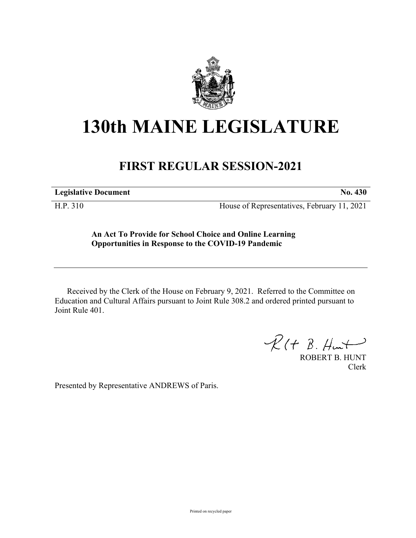

## **130th MAINE LEGISLATURE**

## **FIRST REGULAR SESSION-2021**

**Legislative Document No. 430**

H.P. 310 House of Representatives, February 11, 2021

**An Act To Provide for School Choice and Online Learning Opportunities in Response to the COVID-19 Pandemic**

Received by the Clerk of the House on February 9, 2021. Referred to the Committee on Education and Cultural Affairs pursuant to Joint Rule 308.2 and ordered printed pursuant to Joint Rule 401.

 $R(H B. H<sub>un</sub>)$ 

ROBERT B. HUNT Clerk

Presented by Representative ANDREWS of Paris.